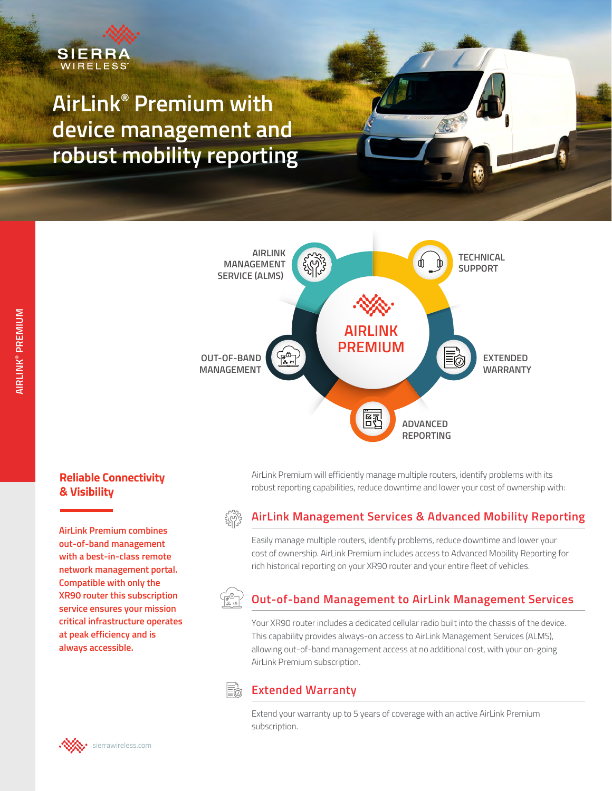

**AirLink® Premium with device management and robust mobility reporting**



AirLink Premium will efficiently manage multiple routers, identify problems with its robust reporting capabilities, reduce downtime and lower your cost of ownership with:

## **Reliable Connectivity & Visibility**

**AirLink Premium combines out-of-band management with a best-in-class remote network management portal. Compatible with only the XR90 router this subscription service ensures your mission critical infrastructure operates at peak efficiency and is always accessible.**

# **AirLink Management Services & Advanced Mobility Reporting**

Easily manage multiple routers, identify problems, reduce downtime and lower your cost of ownership. AirLink Premium includes access to Advanced Mobility Reporting for rich historical reporting on your XR90 router and your entire fleet of vehicles.

# **Out-of-band Management to AirLink Management Services**

Your XR90 router includes a dedicated cellular radio built into the chassis of the device. This capability provides always-on access to AirLink Management Services (ALMS), allowing out-of-band management access at no additional cost, with your on-going AirLink Premium subscription.

#### Eħ **Extended Warranty**

Extend your warranty up to 5 years of coverage with an active AirLink Premium subscription.